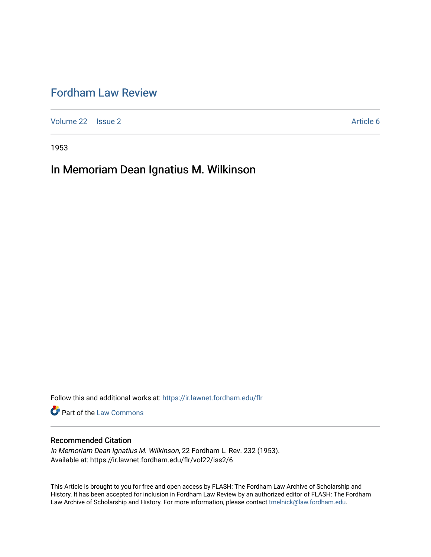# [Fordham Law Review](https://ir.lawnet.fordham.edu/flr)

[Volume 22](https://ir.lawnet.fordham.edu/flr/vol22) | [Issue 2](https://ir.lawnet.fordham.edu/flr/vol22/iss2) Article 6

1953

# In Memoriam Dean Ignatius M. Wilkinson

Follow this and additional works at: [https://ir.lawnet.fordham.edu/flr](https://ir.lawnet.fordham.edu/flr?utm_source=ir.lawnet.fordham.edu%2Fflr%2Fvol22%2Fiss2%2F6&utm_medium=PDF&utm_campaign=PDFCoverPages)

**Part of the [Law Commons](http://network.bepress.com/hgg/discipline/578?utm_source=ir.lawnet.fordham.edu%2Fflr%2Fvol22%2Fiss2%2F6&utm_medium=PDF&utm_campaign=PDFCoverPages)** 

### Recommended Citation

In Memoriam Dean Ignatius M. Wilkinson, 22 Fordham L. Rev. 232 (1953). Available at: https://ir.lawnet.fordham.edu/flr/vol22/iss2/6

This Article is brought to you for free and open access by FLASH: The Fordham Law Archive of Scholarship and History. It has been accepted for inclusion in Fordham Law Review by an authorized editor of FLASH: The Fordham Law Archive of Scholarship and History. For more information, please contact [tmelnick@law.fordham.edu](mailto:tmelnick@law.fordham.edu).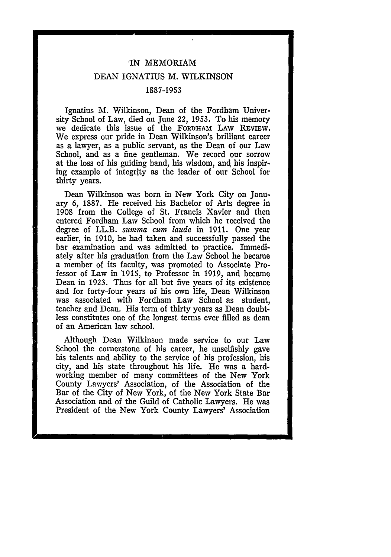#### **,IN** MEMORIAM

#### DEAN IGNATIUS M. WILKINSON

#### 1887-1953

Ignatius M. Wilkinson, Dean of the Fordham University School of Law, died on June 22, 1953. To his memory we dedicate this issue of the FORDHAM LAW REVIEW. We express our pride in Dean Wilkinson's brilliant career as a lawyer, as a public servant, as the Dean of our Law School, and as a fine gentleman. We record our sorrow at the loss of his guiding hand, his wisdom, and his inspiring example of integrity as the leader of our School for thirty years.

Dean Wilkinson was born in New York City on January **6,** 1887. He received his Bachelor of Arts degree in 1908 from the College of St. Francis Xavier and then entered Fordham Law School from which he received the degree of LL.B. *summa cum laude* in 1911. One year earlier, in 1910, he had taken and successfully passed the bar examination and was admitted to practice. Immediately after his graduation from the Law School he became a member of its faculty, was promoted to Associate Professor of Law in '1915, to Professor in 1919, and became Dean in 1923. Thus for all but five years of its existence and for forty-four years of his own life, Dean Wilkinson was associated with Fordham Law School as student, teacher and Dean. His term of thirty years as Dean doubtless constitutes one of the longest terms ever filled as dean of an American law school.

Although Dean Wilkinson made service to our Law School the cornerstone of his career, he unselfishly gave his talents and ability to the service of his profession, his city, and his state throughout his life. He was a hardworking member of many committees of the New York County Lawyers' Association, of the Association of the Bar of the City of New York, of the New York State Bar Association and of the Guild of Catholic Lawyers. He was President of the New York County Lawyers' Association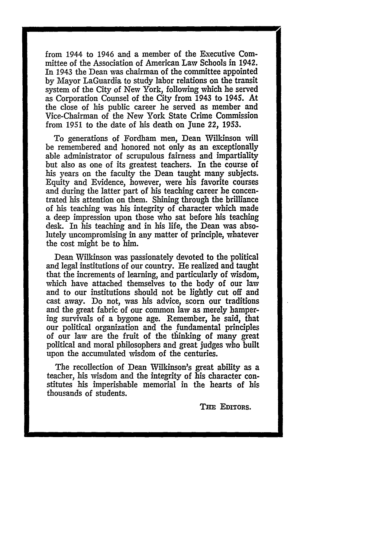from 1944 to 1946 and a member of the Executive Committee of the Association of American Law Schools in 1942. In 1943 the Dean was chairman of the committee appointed by Mayor LaGuardia to study labor relations on the transit system of the City of New York, following which he served as Corporation Counsel of the City from 1943 to 1945. At the close of his public career he served as member and Vice-Chairman of the New York State Crime Commission from 1951 to the date of his death on June 22, **1953.**

To generations of Fordham men, Dean Wilkinson will be remembered and honored not only as an exceptionally able administrator of scrupulous fairness and impartiality but also as one of its greatest teachers. In the course of his years on the faculty the Dean taught many subjects. Equity and Evidence, however, were his favorite courses and during the latter part of his teaching career he concentrated his attention on them. Shining through the brilliance of his teaching was his integrity of character which made a deep impression upon those who sat before his teaching desk. In his teaching and in his life, the Dean was absolutely uncompromising in any matter of principle, whatever the cost might be to him.

Dean Wilkinson was passionately devoted to the political and legal institutions of our country. He realized and taught that the increments of learning, and particularly of wisdom, which have attached themselves to the body of our law and to our institutions should not be lightly cut off and cast away. Do not, was his advice, scorn our traditions and the great fabric of our common law as merely hampering survivals of a bygone age. Remember, he said, that our political organization and the fundamental principles of our law are the fruit of the thinking of many great political and moral philosophers and great judges who built upon the accumulated wisdom of the centuries.

The recollection of Dean Wilkinson's great ability as a teacher, his wisdom and the integrity of his character constitutes his imperishable memorial in the hearts of his thousands of students.

**THE** EDITORS.